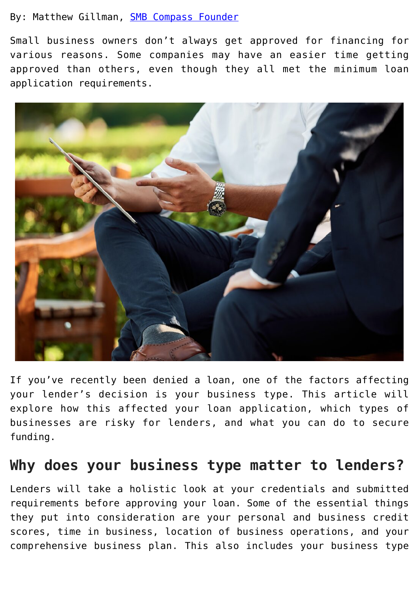### By: Matthew Gillman, **[SMB Compass Founder](https://www.smbcompass.com/)**

Small business owners don't always get approved for financing for various reasons. Some companies may have an easier time getting approved than others, even though they all met the minimum loan application requirements.



If you've recently been denied a loan, one of the factors affecting your lender's decision is your business type. This article will explore how this affected your loan application, which types of businesses are risky for lenders, and what you can do to secure funding.

# **Why does your business type matter to lenders?**

Lenders will take a holistic look at your credentials and submitted requirements before approving your loan. Some of the essential things they put into consideration are your personal and business credit scores, time in business, location of business operations, and your comprehensive business plan. This also includes your business type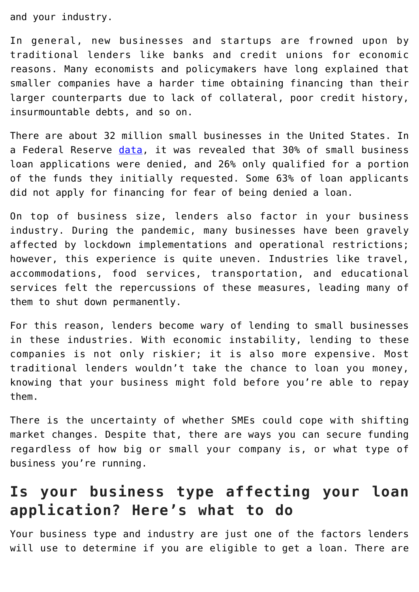and your industry.

In general, new businesses and startups are frowned upon by traditional lenders like banks and credit unions for economic reasons. Many economists and policymakers have long explained that smaller companies have a harder time obtaining financing than their larger counterparts due to lack of collateral, poor credit history, insurmountable debts, and so on.

There are about 32 million small businesses in the United States. In a Federal Reserve [data,](https://www.forbes.com/advisor/business-loans/problems-getting-a-small-business-loan/) it was revealed that 30% of small business loan applications were denied, and 26% only qualified for a portion of the funds they initially requested. Some 63% of loan applicants did not apply for financing for fear of being denied a loan.

On top of business size, lenders also factor in your business industry. During the pandemic, many businesses have been gravely affected by lockdown implementations and operational restrictions; however, this experience is quite uneven. Industries like travel, accommodations, food services, transportation, and educational services felt the repercussions of these measures, leading many of them to shut down permanently.

For this reason, lenders become wary of lending to small businesses in these industries. With economic instability, lending to these companies is not only riskier; it is also more expensive. Most traditional lenders wouldn't take the chance to loan you money, knowing that your business might fold before you're able to repay them.

There is the uncertainty of whether SMEs could cope with shifting market changes. Despite that, there are ways you can secure funding regardless of how big or small your company is, or what type of business you're running.

# **Is your business type affecting your loan application? Here's what to do**

Your business type and industry are just one of the factors lenders will use to determine if you are eligible to get a loan. There are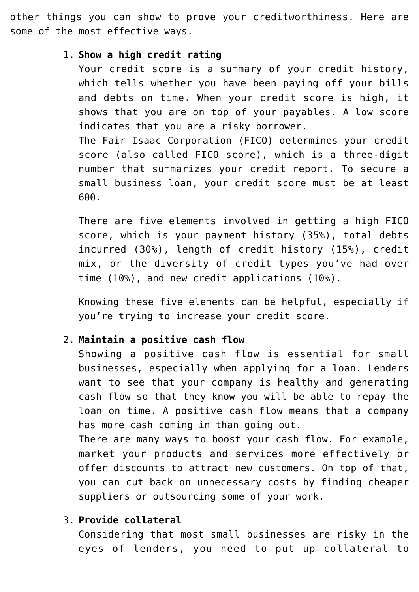other things you can show to prove your creditworthiness. Here are some of the most effective ways.

#### 1. **Show a high credit rating**

Your credit score is a summary of your credit history, which tells whether you have been paying off your bills and debts on time. When your credit score is high, it shows that you are on top of your payables. A low score indicates that you are a risky borrower. The Fair Isaac Corporation (FICO) determines your credit

score (also called FICO score), which is a three-digit number that summarizes your credit report. To secure a small business loan, your credit score must be at least 600.

There are five elements involved in getting a high FICO score, which is your payment history (35%), total debts incurred (30%), length of credit history (15%), credit mix, or the diversity of credit types you've had over time (10%), and new credit applications (10%).

Knowing these five elements can be helpful, especially if you're trying to increase your credit score.

#### 2. **Maintain a positive cash flow**

Showing a positive cash flow is essential for small businesses, especially when applying for a loan. Lenders want to see that your company is healthy and generating cash flow so that they know you will be able to repay the loan on time. A positive cash flow means that a company has more cash coming in than going out.

There are many ways to boost your cash flow. For example, market your products and services more effectively or offer discounts to attract new customers. On top of that, you can cut back on unnecessary costs by finding cheaper suppliers or outsourcing some of your work.

## 3. **Provide collateral**

Considering that most small businesses are risky in the eyes of lenders, you need to put up collateral to